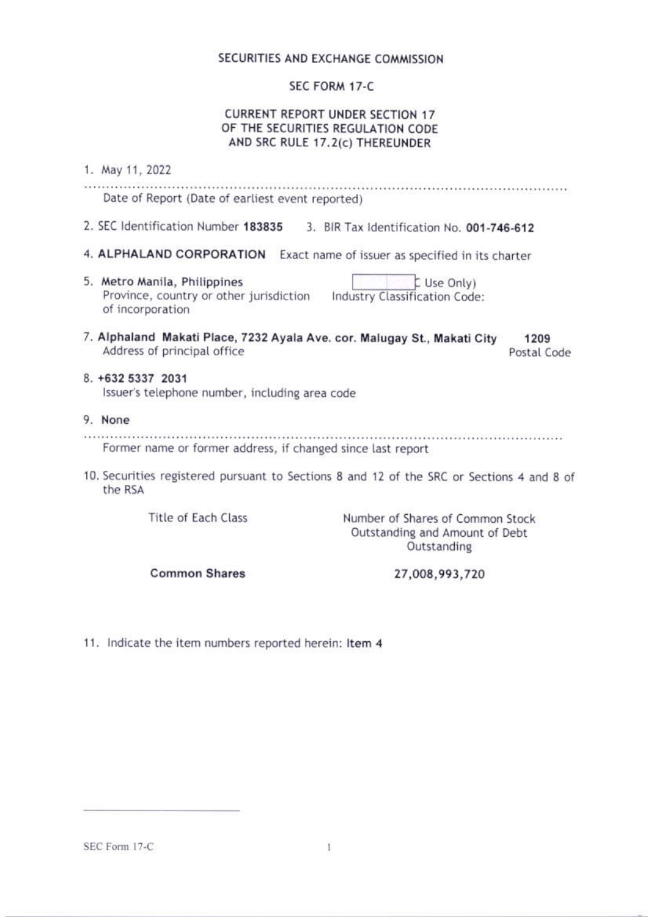# SECURITIES AND EXCHANGE COMMISSION

### SEC FORM 17-C

# **CURRENT REPORT UNDER SECTION 17** OF THE SECURITIES REGULATION CODE AND SRC RULE 17.2(c) THEREUNDER

| 1. May 11, 2022                                                                                         |                                                                                           |
|---------------------------------------------------------------------------------------------------------|-------------------------------------------------------------------------------------------|
| Date of Report (Date of earliest event reported)                                                        |                                                                                           |
| 2. SEC Identification Number 183835                                                                     | 3. BIR Tax Identification No. 001-746-612                                                 |
| 4. ALPHALAND CORPORATION                                                                                | Exact name of issuer as specified in its charter                                          |
| 5. Metro Manila, Philippines<br>Province, country or other jurisdiction<br>of incorporation             | L Use Only)<br>Industry Classification Code:                                              |
| 7. Alphaland Makati Place, 7232 Ayala Ave. cor. Malugay St., Makati City<br>Address of principal office | 1209<br>Postal Code                                                                       |
| 8. +632 5337 2031<br>Issuer's telephone number, including area code                                     |                                                                                           |
| 9. None                                                                                                 |                                                                                           |
| Former name or former address, if changed since last report                                             |                                                                                           |
| the RSA                                                                                                 | 10. Securities registered pursuant to Sections 8 and 12 of the SRC or Sections 4 and 8 of |
| Title of Each Class                                                                                     | Number of Shares of Common Stock<br>Outstanding and Amount of Debt<br>Outstanding         |
| <b>Common Shares</b>                                                                                    | 27,008,993,720                                                                            |

11. Indicate the item numbers reported herein: Item 4

SEC Form 17-C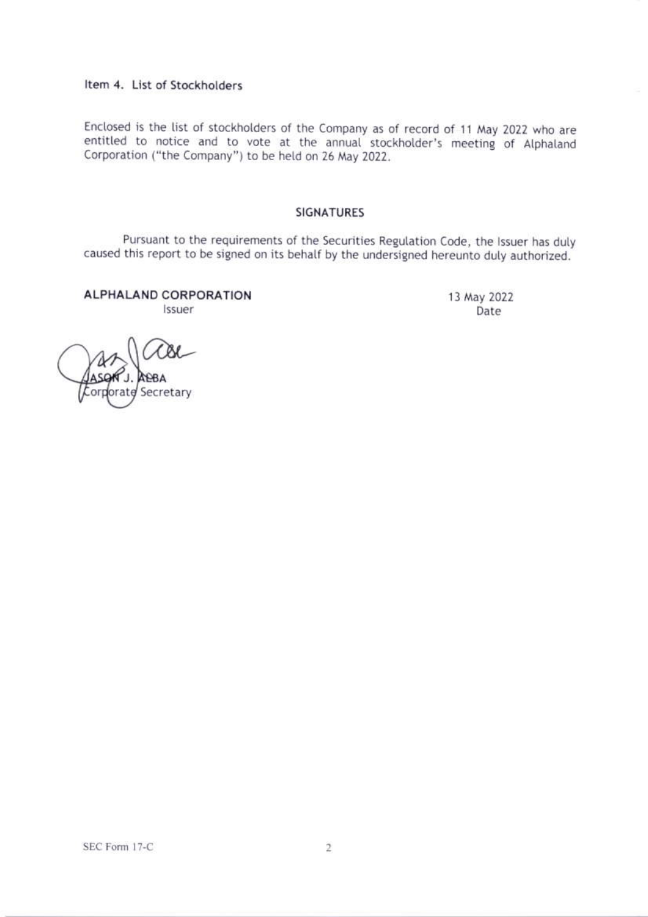# Item 4. List of Stockholders

Enclosed is the list of stockholders of the Company as of record of 11 May 2022 who are entitled to notice and to vote at the annual stockholder's meeting of Alphaland Corporation ("the Company") to be held on 26 May 2022.

#### **SIGNATURES**

Pursuant to the requirements of the Securities Regulation Code, the Issuer has duly caused this report to be signed on its behalf by the undersigned hereunto duly authorized.

**ALPHALAND CORPORATION** *Issuer* 

13 May 2022 Date

Secretary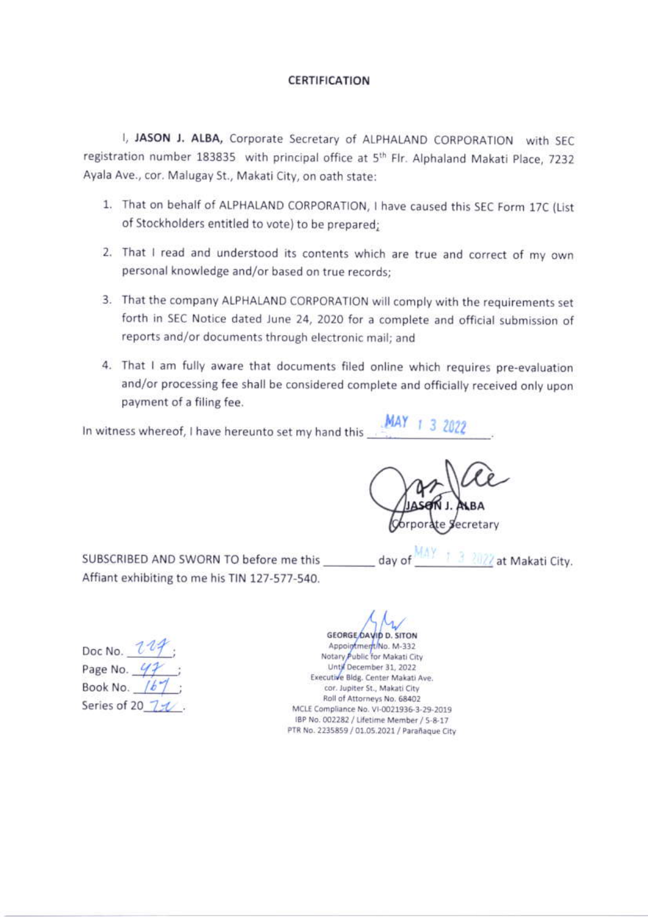### CERTIFICATION

I, JASON J. ALBA, Corporate Secretary of ALPHALAND CORPORATION with SEC. registration number 183835 with principal office at 5<sup>th</sup> Flr. Alphaland Makati Place, 7232 Ayala Ave., cor. Malugay St., Makati City, on oath state:

- 1. That on behalf of ALPHALAND CORPORATION, I have caused this SEC Form 17C (List of Stockholders entitled to vote) to be prepared;
- 2. That I read and understood its contents which are true and correct of my own personal knowledge and/or based on true records;
- 3. That the company ALPHALAND CORPORATION will comply with the requirements set forth in SEC Notice dated June 24, 2020 for a complete and official submission of reports and/or documents through electronic mail; and
- 4. That I am fully aware that documents filed online which requires pre-evaluation and/or processing fee shall be considered complete and officially received only upon payment of a filing fee.

In witness whereof, I have hereunto set my hand this

ecretary

MAY<sub>1</sub>

SUBSCRIBED AND SWORN TO before me this Affiant exhibiting to me his TIN 127-577-540.

3 2022 at Makati City. day of

Doc No.  $\mathcal{U}$ : Page No.  $47$ ; Book No.  $167$ Series of 20 750

**GEORGE DAVID D. SITON** Appointment/No. M-332 Notary Public for Makati City Until December 31, 2022 Executive Bldg. Center Makati Ave. cor. Jupiter St., Makati City Roll of Attorneys No. 68402 MCLE Compliance No. VI-0021936-3-29-2019 IBP No. 002282 / Lifetime Member / 5-8-17 PTR No. 2235859 / 01.05.2021 / Parañaque City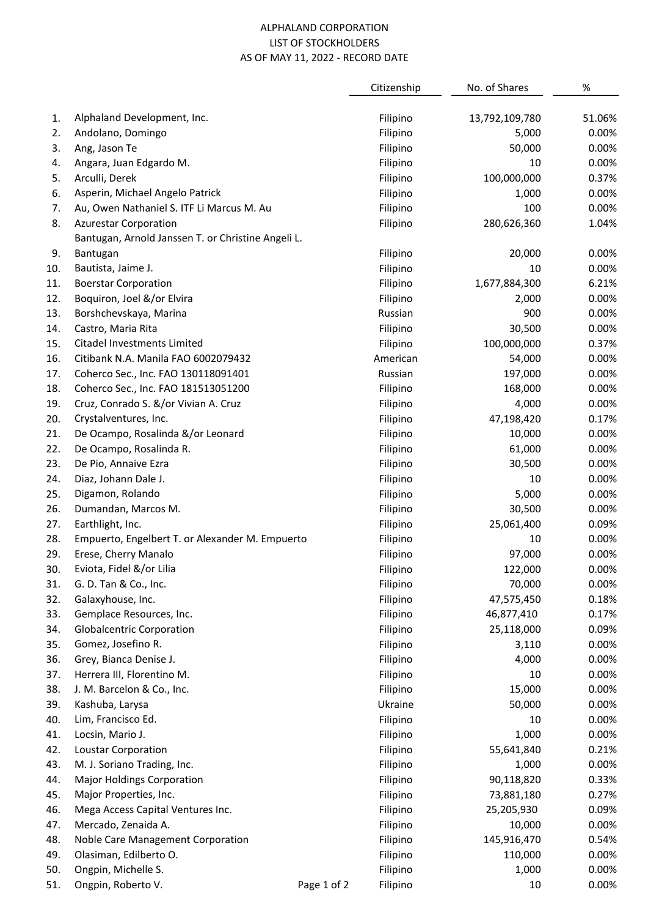### ALPHALAND CORPORATION LIST OF STOCKHOLDERS AS OF MAY 11, 2022 - RECORD DATE

|     |                                                    |             | Citizenship | No. of Shares  | $\%$   |
|-----|----------------------------------------------------|-------------|-------------|----------------|--------|
| 1.  | Alphaland Development, Inc.                        |             | Filipino    | 13,792,109,780 | 51.06% |
| 2.  | Andolano, Domingo                                  |             | Filipino    | 5,000          | 0.00%  |
| 3.  | Ang, Jason Te                                      |             | Filipino    | 50,000         | 0.00%  |
| 4.  | Angara, Juan Edgardo M.                            |             | Filipino    | 10             | 0.00%  |
| 5.  | Arculli, Derek                                     |             | Filipino    | 100,000,000    | 0.37%  |
| 6.  | Asperin, Michael Angelo Patrick                    |             | Filipino    | 1,000          | 0.00%  |
| 7.  | Au, Owen Nathaniel S. ITF Li Marcus M. Au          |             | Filipino    | 100            | 0.00%  |
| 8.  | <b>Azurestar Corporation</b>                       |             | Filipino    | 280,626,360    | 1.04%  |
|     | Bantugan, Arnold Janssen T. or Christine Angeli L. |             |             |                |        |
| 9.  | Bantugan                                           |             | Filipino    | 20,000         | 0.00%  |
| 10. | Bautista, Jaime J.                                 |             | Filipino    | 10             | 0.00%  |
| 11. | <b>Boerstar Corporation</b>                        |             | Filipino    | 1,677,884,300  | 6.21%  |
| 12. | Boquiron, Joel &/or Elvira                         |             | Filipino    | 2,000          | 0.00%  |
| 13. | Borshchevskaya, Marina                             |             | Russian     | 900            | 0.00%  |
| 14. | Castro, Maria Rita                                 |             | Filipino    | 30,500         | 0.00%  |
| 15. | Citadel Investments Limited                        |             | Filipino    | 100,000,000    | 0.37%  |
| 16. | Citibank N.A. Manila FAO 6002079432                |             | American    | 54,000         | 0.00%  |
| 17. | Coherco Sec., Inc. FAO 130118091401                |             | Russian     | 197,000        | 0.00%  |
| 18. | Coherco Sec., Inc. FAO 181513051200                |             | Filipino    | 168,000        | 0.00%  |
| 19. | Cruz, Conrado S. &/or Vivian A. Cruz               |             | Filipino    | 4,000          | 0.00%  |
| 20. | Crystalventures, Inc.                              |             | Filipino    | 47,198,420     | 0.17%  |
| 21. | De Ocampo, Rosalinda &/or Leonard                  |             | Filipino    | 10,000         | 0.00%  |
| 22. | De Ocampo, Rosalinda R.                            |             | Filipino    | 61,000         | 0.00%  |
| 23. | De Pio, Annaive Ezra                               |             | Filipino    | 30,500         | 0.00%  |
| 24. | Diaz, Johann Dale J.                               |             | Filipino    | 10             | 0.00%  |
| 25. | Digamon, Rolando                                   |             | Filipino    | 5,000          | 0.00%  |
| 26. | Dumandan, Marcos M.                                |             | Filipino    | 30,500         | 0.00%  |
| 27. | Earthlight, Inc.                                   |             | Filipino    | 25,061,400     | 0.09%  |
| 28. | Empuerto, Engelbert T. or Alexander M. Empuerto    |             | Filipino    | 10             | 0.00%  |
| 29. | Erese, Cherry Manalo                               |             | Filipino    | 97,000         | 0.00%  |
| 30. | Eviota, Fidel &/or Lilia                           |             | Filipino    | 122,000        | 0.00%  |
| 31. | G. D. Tan & Co., Inc.                              |             | Filipino    | 70,000         | 0.00%  |
| 32. | Galaxyhouse, Inc.                                  |             | Filipino    | 47,575,450     | 0.18%  |
| 33. | Gemplace Resources, Inc.                           |             | Filipino    | 46,877,410     | 0.17%  |
| 34. | <b>Globalcentric Corporation</b>                   |             | Filipino    | 25,118,000     | 0.09%  |
| 35. | Gomez, Josefino R.                                 |             | Filipino    | 3,110          | 0.00%  |
| 36. | Grey, Bianca Denise J.                             |             | Filipino    | 4,000          | 0.00%  |
| 37. | Herrera III, Florentino M.                         |             | Filipino    | 10             | 0.00%  |
| 38. | J. M. Barcelon & Co., Inc.                         |             | Filipino    | 15,000         | 0.00%  |
| 39. | Kashuba, Larysa                                    |             | Ukraine     | 50,000         | 0.00%  |
| 40. | Lim, Francisco Ed.                                 |             | Filipino    | 10             | 0.00%  |
| 41. | Locsin, Mario J.                                   |             | Filipino    | 1,000          | 0.00%  |
| 42. | Loustar Corporation                                |             | Filipino    | 55,641,840     | 0.21%  |
| 43. | M. J. Soriano Trading, Inc.                        |             | Filipino    | 1,000          | 0.00%  |
| 44. | <b>Major Holdings Corporation</b>                  |             | Filipino    | 90,118,820     | 0.33%  |
| 45. | Major Properties, Inc.                             |             | Filipino    | 73,881,180     | 0.27%  |
| 46. | Mega Access Capital Ventures Inc.                  |             | Filipino    | 25,205,930     | 0.09%  |
| 47. | Mercado, Zenaida A.                                |             | Filipino    | 10,000         | 0.00%  |
| 48. | Noble Care Management Corporation                  |             | Filipino    | 145,916,470    | 0.54%  |
| 49. | Olasiman, Edilberto O.                             |             | Filipino    | 110,000        | 0.00%  |
| 50. | Ongpin, Michelle S.                                |             | Filipino    | 1,000          | 0.00%  |
| 51. | Ongpin, Roberto V.                                 | Page 1 of 2 | Filipino    | 10             | 0.00%  |